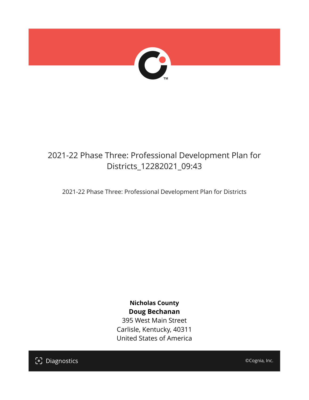

## 2021-22 Phase Three: Professional Development Plan for Districts\_12282021\_09:43

2021-22 Phase Three: Professional Development Plan for Districts

**Nicholas County Doug Bechanan**

395 West Main Street Carlisle, Kentucky, 40311 United States of America

[၁] Diagnostics

©Cognia, Inc.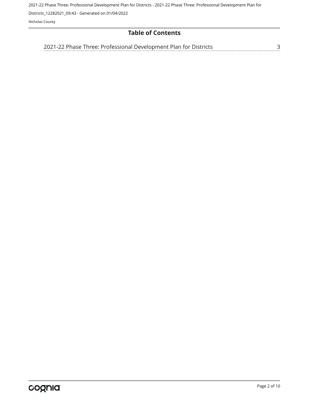2021-22 Phase Three: Professional Development Plan for Districts - 2021-22 Phase Three: Professional Development Plan for

Districts\_12282021\_09:43 - Generated on 01/04/2022

Nicholas County

## **Table of Contents**

[2021-22 Phase Three: Professional Development Plan for Districts](#page-2-0)[3](#page-2-0)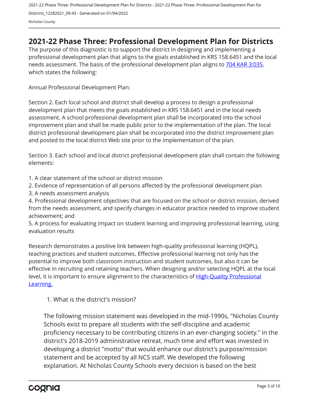## <span id="page-2-0"></span>**2021-22 Phase Three: Professional Development Plan for Districts**

The purpose of this diagnostic is to support the district in designing and implementing a professional development plan that aligns to the goals established in KRS 158.6451 and the local needs assessment. The basis of the professional development plan aligns to [704 KAR 3:035,](https://apps.legislature.ky.gov/Law/kar/704/003/035.pdf) which states the following:

Annual Professional Development Plan:

Section 2. Each local school and district shall develop a process to design a professional development plan that meets the goals established in KRS 158.6451 and in the local needs assessment. A school professional development plan shall be incorporated into the school improvement plan and shall be made public prior to the implementation of the plan. The local district professional development plan shall be incorporated into the district improvement plan and posted to the local district Web site prior to the implementation of the plan.

Section 3. Each school and local district professional development plan shall contain the following elements:

1. A clear statement of the school or district mission

2. Evidence of representation of all persons affected by the professional development plan

3. A needs assessment analysis

4. Professional development objectives that are focused on the school or district mission, derived from the needs assessment, and specify changes in educator practice needed to improve student achievement; and

5. A process for evaluating impact on student learning and improving professional learning, using evaluation results

Research demonstrates a positive link between high-quality professional learning (HQPL), teaching practices and student outcomes. Effective professional learning not only has the potential to improve both classroom instruction and student outcomes, but also it can be effective in recruiting and retaining teachers. When designing and/or selecting HQPL at the local level, it is important to ensure alignment to the characteristics of [High-Quality Professional](https://education.ky.gov/curriculum/standards/kyacadstand/Documents/Characteristics_of_HQPL.pdf) [Learning.](https://education.ky.gov/curriculum/standards/kyacadstand/Documents/Characteristics_of_HQPL.pdf)

1. What is the district's mission?

The following mission statement was developed in the mid-1990s, "Nicholas County Schools exist to prepare all students with the self-discipline and academic proficiency necessary to be contributing citizens in an ever-changing society." In the district's 2018-2019 administrative retreat, much time and effort was invested in developing a district "motto" that would enhance our district's purpose/mission statement and be accepted by all NCS staff. We developed the following explanation. At Nicholas County Schools every decision is based on the best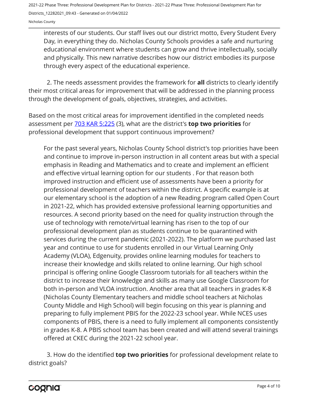Nicholas County

interests of our students. Our staff lives out our district motto, Every Student Every Day, in everything they do. Nicholas County Schools provides a safe and nurturing educational environment where students can grow and thrive intellectually, socially and physically. This new narrative describes how our district embodies its purpose through every aspect of the educational experience.

2. The needs assessment provides the framework for **all** districts to clearly identify their most critical areas for improvement that will be addressed in the planning process through the development of goals, objectives, strategies, and activities.

Based on the most critical areas for improvement identified in the completed needs assessment per [703 KAR 5:225](https://apps.legislature.ky.gov/law/kar/703/005/225.pdf) (3), what are the district's **top two priorities** for professional development that support continuous improvement?

For the past several years, Nicholas County School district's top priorities have been and continue to improve in-person instruction in all content areas but with a special emphasis in Reading and Mathematics and to create and implement an efficient and effective virtual learning option for our students . For that reason both improved instruction and efficient use of assessments have been a priority for professional development of teachers within the district. A specific example is at our elementary school is the adoption of a new Reading program called Open Court in 2021-22, which has provided extensive professional learning opportunities and resources. A second priority based on the need for quality instruction through the use of technology with remote/virtual learning has risen to the top of our professional development plan as students continue to be quarantined with services during the current pandemic (2021-2022). The platform we purchased last year and continue to use for students enrolled in our Virtual Learning Only Academy (VLOA), Edgenuity, provides online learning modules for teachers to increase their knowledge and skills related to online learning. Our high school principal is offering online Google Classroom tutorials for all teachers within the district to increase their knowledge and skills as many use Google Classroom for both in-person and VLOA instruction. Another area that all teachers in grades K-8 (Nicholas County Elementary teachers and middle school teachers at Nicholas County Middle and High School) will begin focusing on this year is planning and preparing to fully implement PBIS for the 2022-23 school year. While NCES uses components of PBIS, there is a need to fully implement all components consistently in grades K-8. A PBIS school team has been created and will attend several trainings offered at CKEC during the 2021-22 school year.

3. How do the identified **top two priorities** for professional development relate to district goals?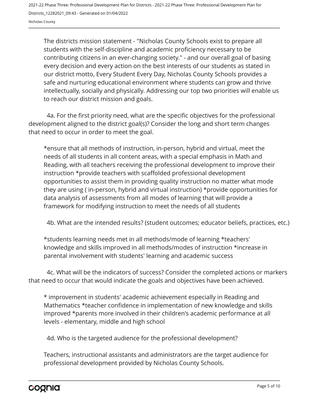The districts mission statement - "Nicholas County Schools exist to prepare all students with the self-discipline and academic proficiency necessary to be contributing citizens in an ever-changing society." - and our overall goal of basing every decision and every action on the best interests of our students as stated in our district motto, Every Student Every Day, Nicholas County Schools provides a safe and nurturing educational environment where students can grow and thrive intellectually, socially and physically. Addressing our top two priorities will enable us to reach our district mission and goals.

4a. For the first priority need, what are the specific objectives for the professional development aligned to the district goal(s)? Consider the long and short term changes that need to occur in order to meet the goal.

\*ensure that all methods of instruction, in-person, hybrid and virtual, meet the needs of all students in all content areas, with a special emphasis in Math and Reading, with all teachers receiving the professional development to improve their instruction \*provide teachers with scaffolded professional development opportunities to assist them in providing quality instruction no matter what mode they are using ( in-person, hybrid and virtual instruction) \*provide opportunities for data analysis of assessments from all modes of learning that will provide a framework for modifying instruction to meet the needs of all students

4b. What are the intended results? (student outcomes; educator beliefs, practices, etc.)

\*students learning needs met in all methods/mode of learning \*teachers' knowledge and skills improved in all methods/modes of instruction \*increase in parental involvement with students' learning and academic success

4c. What will be the indicators of success? Consider the completed actions or markers that need to occur that would indicate the goals and objectives have been achieved.

\* improvement in students' academic achievement especially in Reading and Mathematics \*teacher confidence in implementation of new knowledge and skills improved \*parents more involved in their children's academic performance at all levels - elementary, middle and high school

4d. Who is the targeted audience for the professional development?

Teachers, instructional assistants and administrators are the target audience for professional development provided by Nicholas County Schools.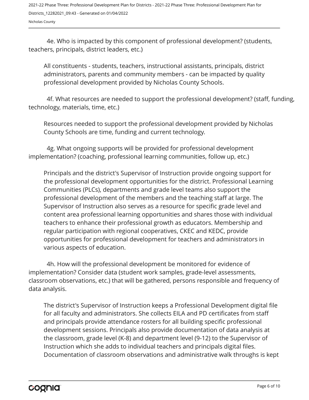Nicholas County

4e. Who is impacted by this component of professional development? (students, teachers, principals, district leaders, etc.)

All constituents - students, teachers, instructional assistants, principals, district administrators, parents and community members - can be impacted by quality professional development provided by Nicholas County Schools.

4f. What resources are needed to support the professional development? (staff, funding, technology, materials, time, etc.)

Resources needed to support the professional development provided by Nicholas County Schools are time, funding and current technology.

4g. What ongoing supports will be provided for professional development implementation? (coaching, professional learning communities, follow up, etc.)

Principals and the district's Supervisor of Instruction provide ongoing support for the professional development opportunities for the district. Professional Learning Communities (PLCs), departments and grade level teams also support the professional development of the members and the teaching staff at large. The Supervisor of Instruction also serves as a resource for specific grade level and content area professional learning opportunities and shares those with individual teachers to enhance their professional growth as educators. Membership and regular participation with regional cooperatives, CKEC and KEDC, provide opportunities for professional development for teachers and administrators in various aspects of education.

4h. How will the professional development be monitored for evidence of implementation? Consider data (student work samples, grade-level assessments, classroom observations, etc.) that will be gathered, persons responsible and frequency of data analysis.

The district's Supervisor of Instruction keeps a Professional Development digital file for all faculty and administrators. She collects EILA and PD certificates from staff and principals provide attendance rosters for all building specific professional development sessions. Principals also provide documentation of data analysis at the classroom, grade level (K-8) and department level (9-12) to the Supervisor of Instruction which she adds to individual teachers and principals digital files. Documentation of classroom observations and administrative walk throughs is kept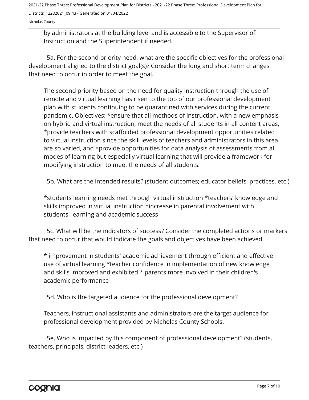Nicholas County

by administrators at the building level and is accessible to the Supervisor of Instruction and the Superintendent if needed.

5a. For the second priority need, what are the specific objectives for the professional development aligned to the district goal(s)? Consider the long and short term changes that need to occur in order to meet the goal.

The second priority based on the need for quality instruction through the use of remote and virtual learning has risen to the top of our professional development plan with students continuing to be quarantined with services during the current pandemic. Objectives: \*ensure that all methods of instruction, with a new emphasis on hybrid and virtual instruction, meet the needs of all students in all content areas, \*provide teachers with scaffolded professional development opportunities related to virtual instruction since the skill levels of teachers and administrators in this area are so varied, and \*provide opportunities for data analysis of assessments from all modes of learning but especially virtual learning that will provide a framework for modifying instruction to meet the needs of all students.

5b. What are the intended results? (student outcomes; educator beliefs, practices, etc.)

\*students learning needs met through virtual instruction \*teachers' knowledge and skills improved in virtual instruction \*increase in parental involvement with students' learning and academic success

5c. What will be the indicators of success? Consider the completed actions or markers that need to occur that would indicate the goals and objectives have been achieved.

\* improvement in students' academic achievement through efficient and effective use of virtual learning \*teacher confidence in implementation of new knowledge and skills improved and exhibited \* parents more involved in their children's academic performance

5d. Who is the targeted audience for the professional development?

Teachers, instructional assistants and administrators are the target audience for professional development provided by Nicholas County Schools.

5e. Who is impacted by this component of professional development? (students, teachers, principals, district leaders, etc.)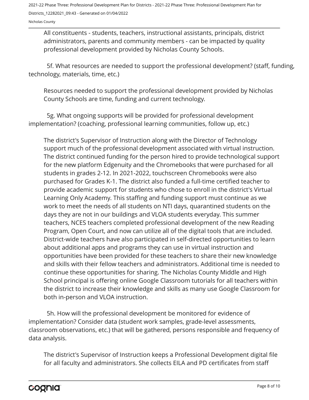Nicholas County

All constituents - students, teachers, instructional assistants, principals, district administrators, parents and community members - can be impacted by quality professional development provided by Nicholas County Schools.

5f. What resources are needed to support the professional development? (staff, funding, technology, materials, time, etc.)

Resources needed to support the professional development provided by Nicholas County Schools are time, funding and current technology.

5g. What ongoing supports will be provided for professional development implementation? (coaching, professional learning communities, follow up, etc.)

The district's Supervisor of Instruction along with the Director of Technology support much of the professional development associated with virtual instruction. The district continued funding for the person hired to provide technological support for the new platform Edgenuity and the Chromebooks that were purchased for all students in grades 2-12. In 2021-2022, touchscreen Chromebooks were also purchased for Grades K-1. The district also funded a full-time certified teacher to provide academic support for students who chose to enroll in the district's Virtual Learning Only Academy. This staffing and funding support must continue as we work to meet the needs of all students on NTI days, quarantined students on the days they are not in our buildings and VLOA students everyday. This summer teachers, NCES teachers completed professional development of the new Reading Program, Open Court, and now can utilize all of the digital tools that are included. District-wide teachers have also participated in self-directed opportunities to learn about additional apps and programs they can use in virtual instruction and opportunities have been provided for these teachers to share their new knowledge and skills with their fellow teachers and administrators. Additional time is needed to continue these opportunities for sharing. The Nicholas County Middle and High School principal is offering online Google Classroom tutorials for all teachers within the district to increase their knowledge and skills as many use Google Classroom for both in-person and VLOA instruction.

5h. How will the professional development be monitored for evidence of implementation? Consider data (student work samples, grade-level assessments, classroom observations, etc.) that will be gathered, persons responsible and frequency of data analysis.

The district's Supervisor of Instruction keeps a Professional Development digital file for all faculty and administrators. She collects EILA and PD certificates from staff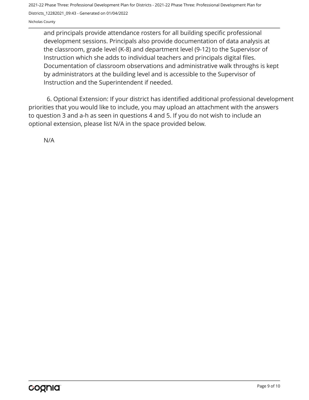Nicholas County

and principals provide attendance rosters for all building specific professional development sessions. Principals also provide documentation of data analysis at the classroom, grade level (K-8) and department level (9-12) to the Supervisor of Instruction which she adds to individual teachers and principals digital files. Documentation of classroom observations and administrative walk throughs is kept by administrators at the building level and is accessible to the Supervisor of Instruction and the Superintendent if needed.

6. Optional Extension: If your district has identified additional professional development priorities that you would like to include, you may upload an attachment with the answers to question 3 and a-h as seen in questions 4 and 5. If you do not wish to include an optional extension, please list N/A in the space provided below.

N/A